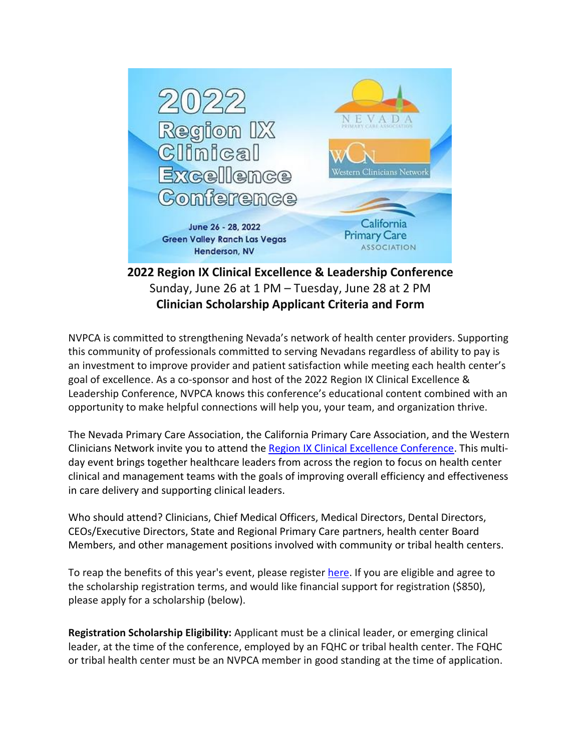

**2022 Region IX Clinical Excellence & Leadership Conference** Sunday, June 26 at 1 PM – Tuesday, June 28 at 2 PM **Clinician Scholarship Applicant Criteria and Form**

NVPCA is committed to strengthening Nevada's network of health center providers. Supporting this community of professionals committed to serving Nevadans regardless of ability to pay is an investment to improve provider and patient satisfaction while meeting each health center's goal of excellence. As a co-sponsor and host of the 2022 Region IX Clinical Excellence & Leadership Conference, NVPCA knows this conference's educational content combined with an opportunity to make helpful connections will help you, your team, and organization thrive.

The Nevada Primary Care Association, the California Primary Care Association, and the Western Clinicians Network invite you to attend the [Region IX Clinical Excellence Conference.](https://www.cpca.org/CPCA/Training_Events/Region_IX_Clinical_Excellence_Conference.aspx) This multiday event brings together healthcare leaders from across the region to focus on health center clinical and management teams with the goals of improving overall efficiency and effectiveness in care delivery and supporting clinical leaders.

Who should attend? Clinicians, Chief Medical Officers, Medical Directors, Dental Directors, CEOs/Executive Directors, State and Regional Primary Care partners, health center Board Members, and other management positions involved with community or tribal health centers.

To reap the benefits of this year's event, please register [here.](https://www.cpca.org/CPCA/Training_Events/Region_IX_Clinical_Excellence_Conference.aspx) If you are eligible and agree to the scholarship registration terms, and would like financial support for registration (\$850), please apply for a scholarship (below).

**Registration Scholarship Eligibility:** Applicant must be a clinical leader, or emerging clinical leader, at the time of the conference, employed by an FQHC or tribal health center. The FQHC or tribal health center must be an NVPCA member in good standing at the time of application.